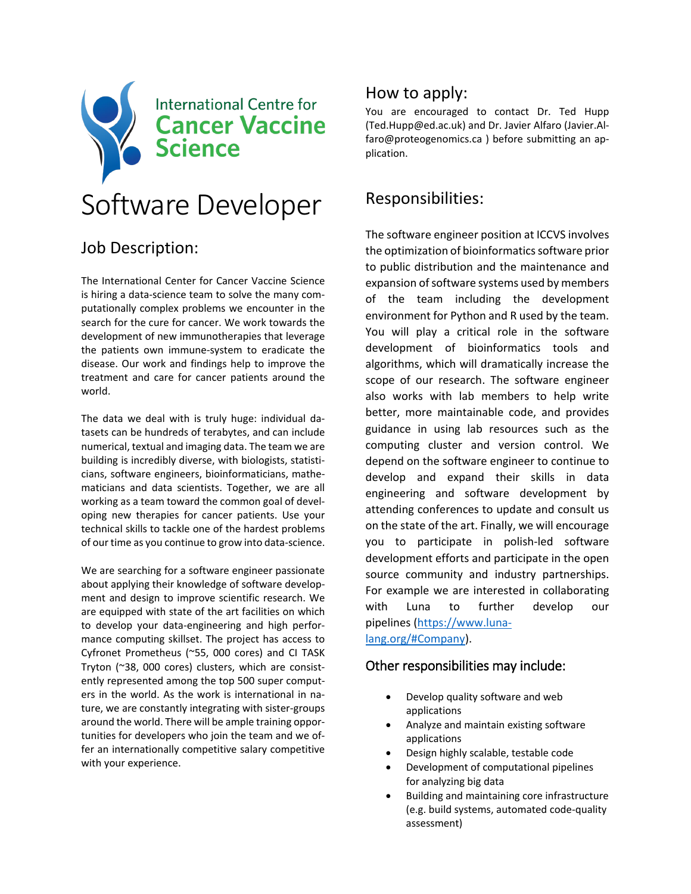

# Job Description:

The International Center for Cancer Vaccine Science is hiring a data-science team to solve the many computationally complex problems we encounter in the search for the cure for cancer. We work towards the development of new immunotherapies that leverage the patients own immune-system to eradicate the disease. Our work and findings help to improve the treatment and care for cancer patients around the world.

The data we deal with is truly huge: individual datasets can be hundreds of terabytes, and can include numerical, textual and imaging data. The team we are building is incredibly diverse, with biologists, statisticians, software engineers, bioinformaticians, mathematicians and data scientists. Together, we are all working as a team toward the common goal of developing new therapies for cancer patients. Use your technical skills to tackle one of the hardest problems of our time as you continue to grow into data-science.

We are searching for a software engineer passionate about applying their knowledge of software development and design to improve scientific research. We are equipped with state of the art facilities on which to develop your data-engineering and high performance computing skillset. The project has access to Cyfronet Prometheus (~55, 000 cores) and CI TASK Tryton (~38, 000 cores) clusters, which are consistently represented among the top 500 super computers in the world. As the work is international in nature, we are constantly integrating with sister-groups around the world. There will be ample training opportunities for developers who join the team and we offer an internationally competitive salary competitive with your experience.

### How to apply:

You are encouraged to contact Dr. Ted Hupp (Ted.Hupp@ed.ac.uk) and Dr. Javier Alfaro (Javier.Alfaro@proteogenomics.ca ) before submitting an application.

## Responsibilities:

The software engineer position at ICCVS involves the optimization of bioinformatics software prior to public distribution and the maintenance and expansion of software systems used by members of the team including the development environment for Python and R used by the team. You will play a critical role in the software development of bioinformatics tools and algorithms, which will dramatically increase the scope of our research. The software engineer also works with lab members to help write better, more maintainable code, and provides guidance in using lab resources such as the computing cluster and version control. We depend on the software engineer to continue to develop and expand their skills in data engineering and software development by attending conferences to update and consult us on the state of the art. Finally, we will encourage you to participate in polish-led software development efforts and participate in the open source community and industry partnerships. For example we are interested in collaborating with Luna to further develop our pipelines [\(https://www.luna](https://www.luna-lang.org/#Company)[lang.org/#Company\)](https://www.luna-lang.org/#Company).

#### Other responsibilities may include:

- Develop quality software and web applications
- Analyze and maintain existing software applications
- Design highly scalable, testable code
- Development of computational pipelines for analyzing big data
- Building and maintaining core infrastructure (e.g. build systems, automated code-quality assessment)